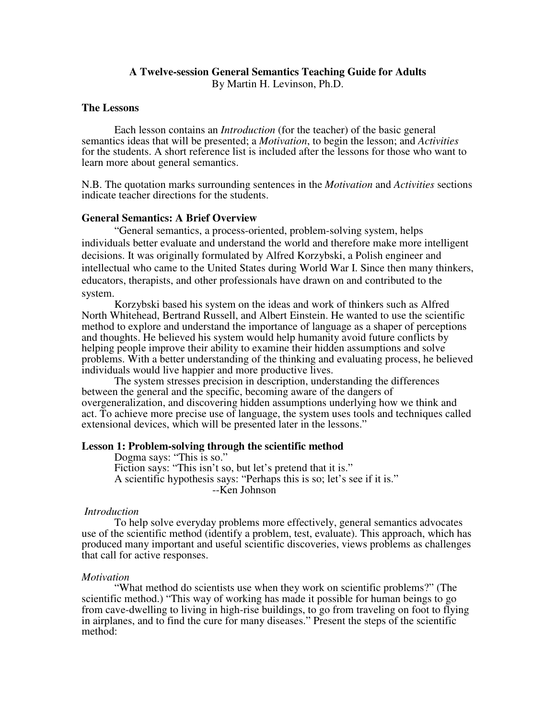### **A Twelve-session General Semantics Teaching Guide for Adults**  By Martin H. Levinson, Ph.D.

#### **The Lessons**

Each lesson contains an *Introduction* (for the teacher) of the basic general semantics ideas that will be presented; a *Motivation*, to begin the lesson; and *Activities* for the students. A short reference list is included after the lessons for those who want to learn more about general semantics.

N.B. The quotation marks surrounding sentences in the *Motivation* and *Activities* sections indicate teacher directions for the students.

#### **General Semantics: A Brief Overview**

 "General semantics, a process-oriented, problem-solving system, helps individuals better evaluate and understand the world and therefore make more intelligent decisions. It was originally formulated by Alfred Korzybski, a Polish engineer and intellectual who came to the United States during World War I. Since then many thinkers, educators, therapists, and other professionals have drawn on and contributed to the system.

 Korzybski based his system on the ideas and work of thinkers such as Alfred North Whitehead, Bertrand Russell, and Albert Einstein. He wanted to use the scientific method to explore and understand the importance of language as a shaper of perceptions and thoughts. He believed his system would help humanity avoid future conflicts by helping people improve their ability to examine their hidden assumptions and solve problems. With a better understanding of the thinking and evaluating process, he believed individuals would live happier and more productive lives.

 The system stresses precision in description, understanding the differences between the general and the specific, becoming aware of the dangers of overgeneralization, and discovering hidden assumptions underlying how we think and act. To achieve more precise use of language, the system uses tools and techniques called extensional devices, which will be presented later in the lessons."

#### **Lesson 1: Problem-solving through the scientific method**

Dogma says: "This is so." Fiction says: "This isn't so, but let's pretend that it is." A scientific hypothesis says: "Perhaps this is so; let's see if it is." --Ken Johnson

#### *Introduction*

To help solve everyday problems more effectively, general semantics advocates use of the scientific method (identify a problem, test, evaluate). This approach, which has produced many important and useful scientific discoveries, views problems as challenges that call for active responses.

#### *Motivation*

 "What method do scientists use when they work on scientific problems?" (The scientific method.) "This way of working has made it possible for human beings to go from cave-dwelling to living in high-rise buildings, to go from traveling on foot to flying in airplanes, and to find the cure for many diseases." Present the steps of the scientific method: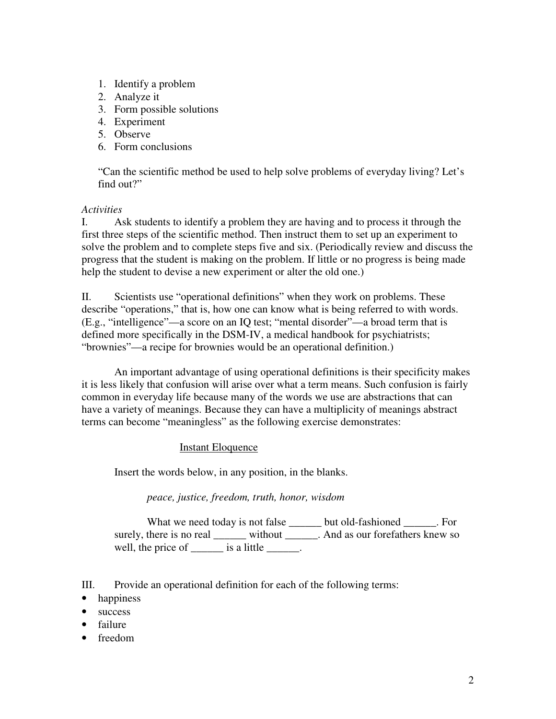- 1. Identify a problem
- 2. Analyze it
- 3. Form possible solutions
- 4. Experiment
- 5. Observe
- 6. Form conclusions

"Can the scientific method be used to help solve problems of everyday living? Let's find out?"

## *Activities*

I. Ask students to identify a problem they are having and to process it through the first three steps of the scientific method. Then instruct them to set up an experiment to solve the problem and to complete steps five and six. (Periodically review and discuss the progress that the student is making on the problem. If little or no progress is being made help the student to devise a new experiment or alter the old one.)

II. Scientists use "operational definitions" when they work on problems. These describe "operations," that is, how one can know what is being referred to with words. (E.g., "intelligence"—a score on an IQ test; "mental disorder"—a broad term that is defined more specifically in the DSM-IV, a medical handbook for psychiatrists; "brownies"—a recipe for brownies would be an operational definition.)

 An important advantage of using operational definitions is their specificity makes it is less likely that confusion will arise over what a term means. Such confusion is fairly common in everyday life because many of the words we use are abstractions that can have a variety of meanings. Because they can have a multiplicity of meanings abstract terms can become "meaningless" as the following exercise demonstrates:

## Instant Eloquence

Insert the words below, in any position, in the blanks.

*peace, justice, freedom, truth, honor, wisdom* 

What we need today is not false \_\_\_\_\_\_ but old-fashioned \_\_\_\_\_\_. For surely, there is no real \_\_\_\_\_\_\_ without \_\_\_\_\_\_\_. And as our forefathers knew so well, the price of \_\_\_\_\_\_\_ is a little \_\_\_\_\_\_.

- III. Provide an operational definition for each of the following terms:
- happiness
- success
- failure
- freedom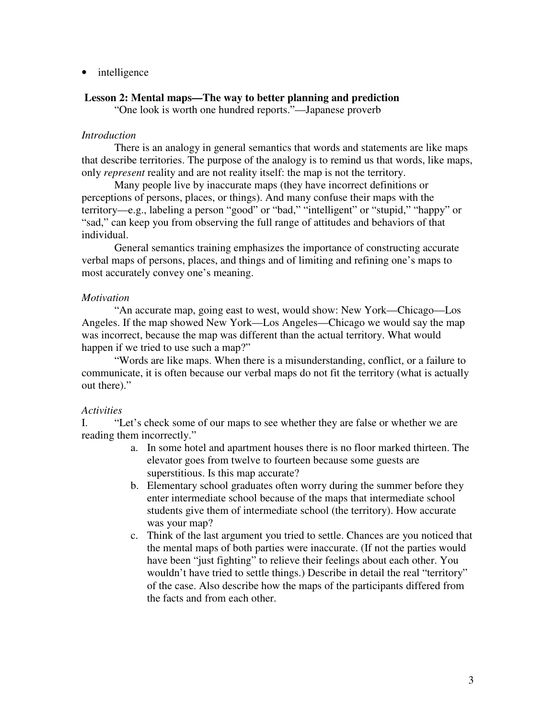• intelligence

### **Lesson 2: Mental maps—The way to better planning and prediction**

"One look is worth one hundred reports."—Japanese proverb

## *Introduction*

There is an analogy in general semantics that words and statements are like maps that describe territories. The purpose of the analogy is to remind us that words, like maps, only *represent* reality and are not reality itself: the map is not the territory.

Many people live by inaccurate maps (they have incorrect definitions or perceptions of persons, places, or things). And many confuse their maps with the territory—e.g., labeling a person "good" or "bad," "intelligent" or "stupid," "happy" or "sad," can keep you from observing the full range of attitudes and behaviors of that individual.

General semantics training emphasizes the importance of constructing accurate verbal maps of persons, places, and things and of limiting and refining one's maps to most accurately convey one's meaning.

## *Motivation*

 "An accurate map, going east to west, would show: New York—Chicago—Los Angeles. If the map showed New York—Los Angeles—Chicago we would say the map was incorrect, because the map was different than the actual territory. What would happen if we tried to use such a map?"

 "Words are like maps. When there is a misunderstanding, conflict, or a failure to communicate, it is often because our verbal maps do not fit the territory (what is actually out there)."

### *Activities*

I. "Let's check some of our maps to see whether they are false or whether we are reading them incorrectly."

- a. In some hotel and apartment houses there is no floor marked thirteen. The elevator goes from twelve to fourteen because some guests are superstitious. Is this map accurate?
- b. Elementary school graduates often worry during the summer before they enter intermediate school because of the maps that intermediate school students give them of intermediate school (the territory). How accurate was your map?
- c. Think of the last argument you tried to settle. Chances are you noticed that the mental maps of both parties were inaccurate. (If not the parties would have been "just fighting" to relieve their feelings about each other. You wouldn't have tried to settle things.) Describe in detail the real "territory" of the case. Also describe how the maps of the participants differed from the facts and from each other.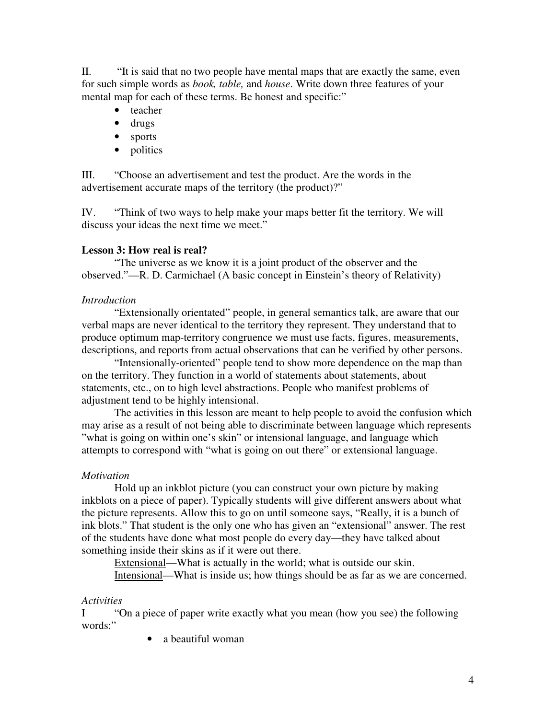II. "It is said that no two people have mental maps that are exactly the same, even for such simple words as *book, table,* and *house*. Write down three features of your mental map for each of these terms. Be honest and specific:"

- teacher
- drugs
- sports
- politics

III. "Choose an advertisement and test the product. Are the words in the advertisement accurate maps of the territory (the product)?"

IV. "Think of two ways to help make your maps better fit the territory. We will discuss your ideas the next time we meet."

## **Lesson 3: How real is real?**

 "The universe as we know it is a joint product of the observer and the observed."—R. D. Carmichael (A basic concept in Einstein's theory of Relativity)

## *Introduction*

"Extensionally orientated" people, in general semantics talk, are aware that our verbal maps are never identical to the territory they represent. They understand that to produce optimum map-territory congruence we must use facts, figures, measurements, descriptions, and reports from actual observations that can be verified by other persons.

"Intensionally-oriented" people tend to show more dependence on the map than on the territory. They function in a world of statements about statements, about statements, etc., on to high level abstractions. People who manifest problems of adjustment tend to be highly intensional.

The activities in this lesson are meant to help people to avoid the confusion which may arise as a result of not being able to discriminate between language which represents "what is going on within one's skin" or intensional language, and language which attempts to correspond with "what is going on out there" or extensional language.

## *Motivation*

Hold up an inkblot picture (you can construct your own picture by making inkblots on a piece of paper). Typically students will give different answers about what the picture represents. Allow this to go on until someone says, "Really, it is a bunch of ink blots." That student is the only one who has given an "extensional" answer. The rest of the students have done what most people do every day—they have talked about something inside their skins as if it were out there.

Extensional—What is actually in the world; what is outside our skin.

Intensional—What is inside us; how things should be as far as we are concerned.

## *Activities*

I "On a piece of paper write exactly what you mean (how you see) the following words:"

• a beautiful woman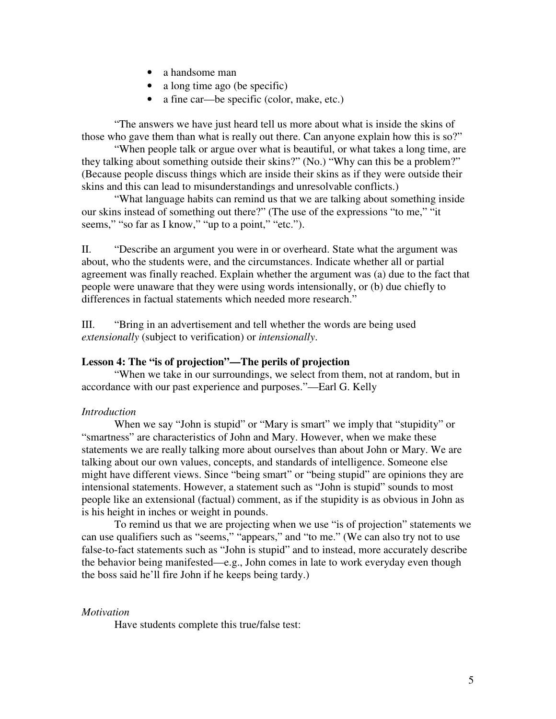- a handsome man
- a long time ago (be specific)
- a fine car—be specific (color, make, etc.)

"The answers we have just heard tell us more about what is inside the skins of those who gave them than what is really out there. Can anyone explain how this is so?"

 "When people talk or argue over what is beautiful, or what takes a long time, are they talking about something outside their skins?" (No.) "Why can this be a problem?" (Because people discuss things which are inside their skins as if they were outside their skins and this can lead to misunderstandings and unresolvable conflicts.)

 "What language habits can remind us that we are talking about something inside our skins instead of something out there?" (The use of the expressions "to me," "it seems," "so far as I know," "up to a point," "etc.").

II. "Describe an argument you were in or overheard. State what the argument was about, who the students were, and the circumstances. Indicate whether all or partial agreement was finally reached. Explain whether the argument was (a) due to the fact that people were unaware that they were using words intensionally, or (b) due chiefly to differences in factual statements which needed more research."

III. "Bring in an advertisement and tell whether the words are being used *extensionally* (subject to verification) or *intensionally*.

### **Lesson 4: The "is of projection"—The perils of projection**

"When we take in our surroundings, we select from them, not at random, but in accordance with our past experience and purposes."—Earl G. Kelly

### *Introduction*

When we say "John is stupid" or "Mary is smart" we imply that "stupidity" or "smartness" are characteristics of John and Mary. However, when we make these statements we are really talking more about ourselves than about John or Mary. We are talking about our own values, concepts, and standards of intelligence. Someone else might have different views. Since "being smart" or "being stupid" are opinions they are intensional statements. However, a statement such as "John is stupid" sounds to most people like an extensional (factual) comment, as if the stupidity is as obvious in John as is his height in inches or weight in pounds.

 To remind us that we are projecting when we use "is of projection" statements we can use qualifiers such as "seems," "appears," and "to me." (We can also try not to use false-to-fact statements such as "John is stupid" and to instead, more accurately describe the behavior being manifested—e.g., John comes in late to work everyday even though the boss said he'll fire John if he keeps being tardy.)

### *Motivation*

Have students complete this true/false test: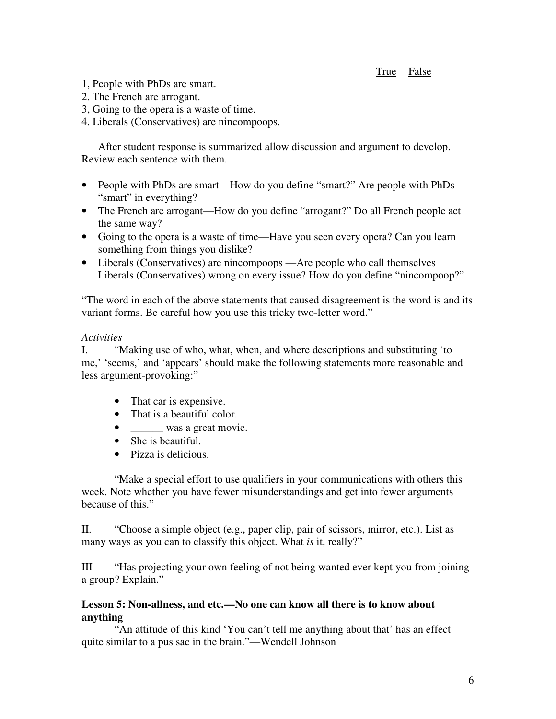## True False

- 1, People with PhDs are smart.
- 2. The French are arrogant.
- 3, Going to the opera is a waste of time.
- 4. Liberals (Conservatives) are nincompoops.

After student response is summarized allow discussion and argument to develop. Review each sentence with them.

- People with PhDs are smart—How do you define "smart?" Are people with PhDs "smart" in everything?
- The French are arrogant—How do you define "arrogant?" Do all French people act the same way?
- Going to the opera is a waste of time—Have you seen every opera? Can you learn something from things you dislike?
- Liberals (Conservatives) are nincompoops —Are people who call themselves Liberals (Conservatives) wrong on every issue? How do you define "nincompoop?"

"The word in each of the above statements that caused disagreement is the word is and its variant forms. Be careful how you use this tricky two-letter word."

## *Activities*

I. "Making use of who, what, when, and where descriptions and substituting 'to me,' 'seems,' and 'appears' should make the following statements more reasonable and less argument-provoking:"

- That car is expensive.
- That is a beautiful color.
- was a great movie.
- She is beautiful.
- Pizza is delicious.

"Make a special effort to use qualifiers in your communications with others this week. Note whether you have fewer misunderstandings and get into fewer arguments because of this."

II. "Choose a simple object (e.g., paper clip, pair of scissors, mirror, etc.). List as many ways as you can to classify this object. What *is* it, really?"

III "Has projecting your own feeling of not being wanted ever kept you from joining a group? Explain."

## **Lesson 5: Non-allness, and etc.—No one can know all there is to know about anything**

"An attitude of this kind 'You can't tell me anything about that' has an effect quite similar to a pus sac in the brain."—Wendell Johnson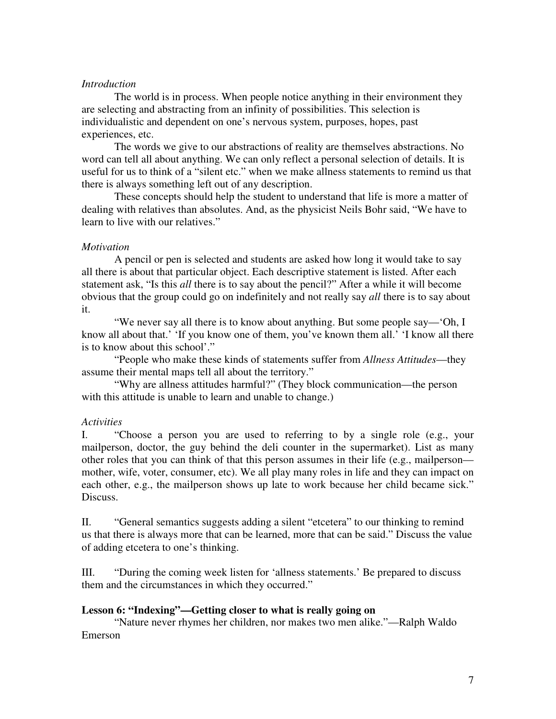## *Introduction*

 The world is in process. When people notice anything in their environment they are selecting and abstracting from an infinity of possibilities. This selection is individualistic and dependent on one's nervous system, purposes, hopes, past experiences, etc.

 The words we give to our abstractions of reality are themselves abstractions. No word can tell all about anything. We can only reflect a personal selection of details. It is useful for us to think of a "silent etc." when we make allness statements to remind us that there is always something left out of any description.

 These concepts should help the student to understand that life is more a matter of dealing with relatives than absolutes. And, as the physicist Neils Bohr said, "We have to learn to live with our relatives."

## *Motivation*

 A pencil or pen is selected and students are asked how long it would take to say all there is about that particular object. Each descriptive statement is listed. After each statement ask, "Is this *all* there is to say about the pencil?" After a while it will become obvious that the group could go on indefinitely and not really say *all* there is to say about it.

 "We never say all there is to know about anything. But some people say—'Oh, I know all about that.' 'If you know one of them, you've known them all.' 'I know all there is to know about this school'."

 "People who make these kinds of statements suffer from *Allness Attitudes*—they assume their mental maps tell all about the territory."

 "Why are allness attitudes harmful?" (They block communication—the person with this attitude is unable to learn and unable to change.)

## *Activities*

I. "Choose a person you are used to referring to by a single role (e.g., your mailperson, doctor, the guy behind the deli counter in the supermarket). List as many other roles that you can think of that this person assumes in their life (e.g., mailperson mother, wife, voter, consumer, etc). We all play many roles in life and they can impact on each other, e.g., the mailperson shows up late to work because her child became sick." Discuss.

II. "General semantics suggests adding a silent "etcetera" to our thinking to remind us that there is always more that can be learned, more that can be said." Discuss the value of adding etcetera to one's thinking.

III. "During the coming week listen for 'allness statements.' Be prepared to discuss them and the circumstances in which they occurred."

## **Lesson 6: "Indexing"—Getting closer to what is really going on**

 "Nature never rhymes her children, nor makes two men alike."—Ralph Waldo Emerson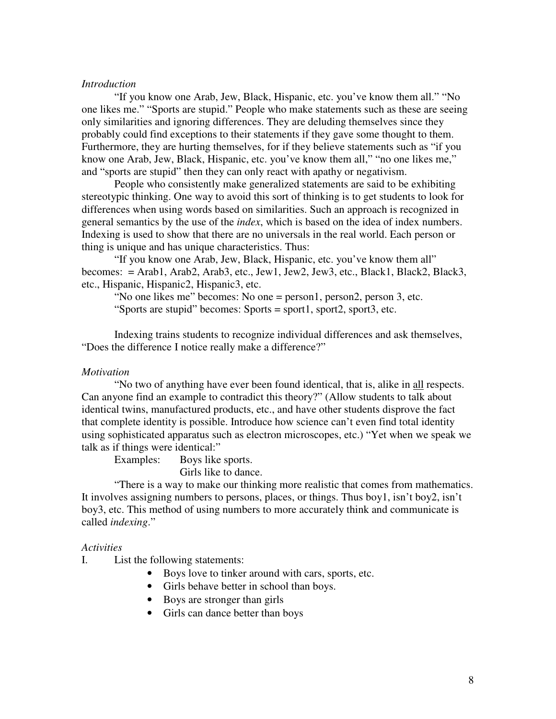### *Introduction*

 "If you know one Arab, Jew, Black, Hispanic, etc. you've know them all." "No one likes me." "Sports are stupid." People who make statements such as these are seeing only similarities and ignoring differences. They are deluding themselves since they probably could find exceptions to their statements if they gave some thought to them. Furthermore, they are hurting themselves, for if they believe statements such as "if you know one Arab, Jew, Black, Hispanic, etc. you've know them all," "no one likes me," and "sports are stupid" then they can only react with apathy or negativism.

 People who consistently make generalized statements are said to be exhibiting stereotypic thinking. One way to avoid this sort of thinking is to get students to look for differences when using words based on similarities. Such an approach is recognized in general semantics by the use of the *index*, which is based on the idea of index numbers. Indexing is used to show that there are no universals in the real world. Each person or thing is unique and has unique characteristics. Thus:

 "If you know one Arab, Jew, Black, Hispanic, etc. you've know them all" becomes: = Arab1, Arab2, Arab3, etc., Jew1, Jew2, Jew3, etc., Black1, Black2, Black3, etc., Hispanic, Hispanic2, Hispanic3, etc.

 "No one likes me" becomes: No one = person1, person2, person 3, etc. "Sports are stupid" becomes: Sports = sport1, sport2, sport3, etc.

 Indexing trains students to recognize individual differences and ask themselves, "Does the difference I notice really make a difference?"

#### *Motivation*

 "No two of anything have ever been found identical, that is, alike in all respects. Can anyone find an example to contradict this theory?" (Allow students to talk about identical twins, manufactured products, etc., and have other students disprove the fact that complete identity is possible. Introduce how science can't even find total identity using sophisticated apparatus such as electron microscopes, etc.) "Yet when we speak we talk as if things were identical:"

Examples: Boys like sports.

Girls like to dance.

 "There is a way to make our thinking more realistic that comes from mathematics. It involves assigning numbers to persons, places, or things. Thus boy1, isn't boy2, isn't boy3, etc. This method of using numbers to more accurately think and communicate is called *indexing*."

#### *Activities*

I. List the following statements:

- Boys love to tinker around with cars, sports, etc.
- Girls behave better in school than boys.
- Boys are stronger than girls
- Girls can dance better than boys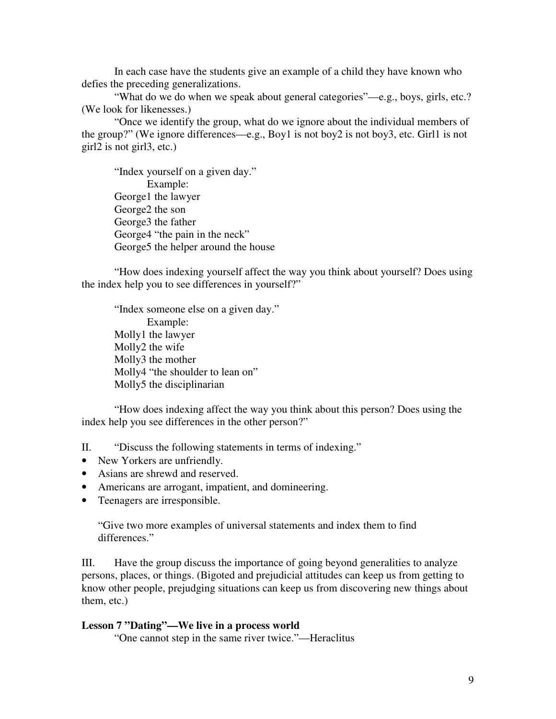In each case have the students give an example of a child they have known who defies the preceding generalizations.

"What do we do when we speak about general categories"—e.g., boys, girls, etc.? (We look for likenesses.)

"Once we identify the group, what do we ignore about the individual members of the group?" (We ignore differences—e.g., Boy1 is not boy2 is not boy3, etc. Girl1 is not girl2 is not girl3, etc.)

"Index yourself on a given day." Example: George1 the lawyer George2 the son George3 the father George4 "the pain in the neck" George5 the helper around the house

"How does indexing yourself affect the way you think about yourself? Does using the index help you to see differences in yourself?"

 "Index someone else on a given day." Example: Molly1 the lawyer Molly2 the wife Molly3 the mother Molly4 "the shoulder to lean on" Molly5 the disciplinarian

 "How does indexing affect the way you think about this person? Does using the index help you see differences in the other person?"

II. "Discuss the following statements in terms of indexing."

- New Yorkers are unfriendly.
- Asians are shrewd and reserved.
- Americans are arrogant, impatient, and domineering.
- Teenagers are irresponsible.

"Give two more examples of universal statements and index them to find differences."

III. Have the group discuss the importance of going beyond generalities to analyze persons, places, or things. (Bigoted and prejudicial attitudes can keep us from getting to know other people, prejudging situations can keep us from discovering new things about them, etc.)

## **Lesson 7 "Dating"—We live in a process world**

"One cannot step in the same river twice."—Heraclitus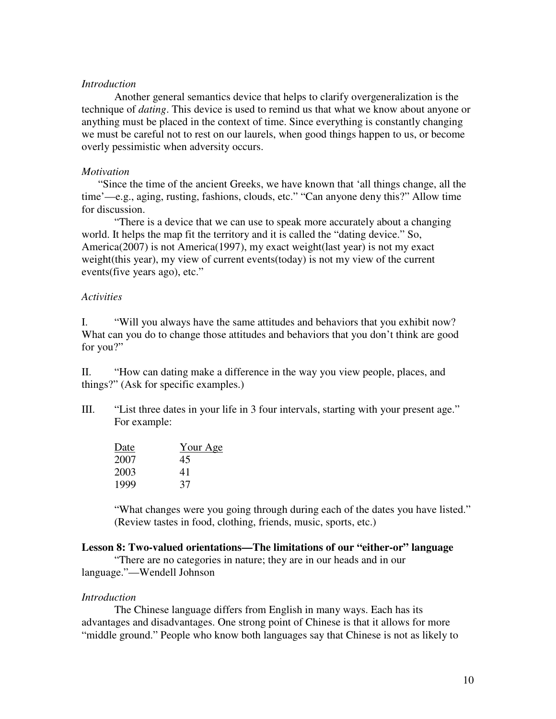### *Introduction*

Another general semantics device that helps to clarify overgeneralization is the technique of *dating*. This device is used to remind us that what we know about anyone or anything must be placed in the context of time. Since everything is constantly changing we must be careful not to rest on our laurels, when good things happen to us, or become overly pessimistic when adversity occurs.

### *Motivation*

"Since the time of the ancient Greeks, we have known that 'all things change, all the time'—e.g., aging, rusting, fashions, clouds, etc." "Can anyone deny this?" Allow time for discussion.

 "There is a device that we can use to speak more accurately about a changing world. It helps the map fit the territory and it is called the "dating device." So, America(2007) is not America(1997), my exact weight(last year) is not my exact weight(this year), my view of current events(today) is not my view of the current events(five years ago), etc."

## *Activities*

I. "Will you always have the same attitudes and behaviors that you exhibit now? What can you do to change those attitudes and behaviors that you don't think are good for you?"

II. "How can dating make a difference in the way you view people, places, and things?" (Ask for specific examples.)

III. "List three dates in your life in 3 four intervals, starting with your present age." For example:

| Date | <u>Your Age</u> |  |  |  |  |
|------|-----------------|--|--|--|--|
| 2007 | 45              |  |  |  |  |
| 2003 | 41              |  |  |  |  |
| 1999 | 37              |  |  |  |  |

"What changes were you going through during each of the dates you have listed." (Review tastes in food, clothing, friends, music, sports, etc.)

## **Lesson 8: Two-valued orientations—The limitations of our "either-or" language**

 "There are no categories in nature; they are in our heads and in our language."—Wendell Johnson

## *Introduction*

 The Chinese language differs from English in many ways. Each has its advantages and disadvantages. One strong point of Chinese is that it allows for more "middle ground." People who know both languages say that Chinese is not as likely to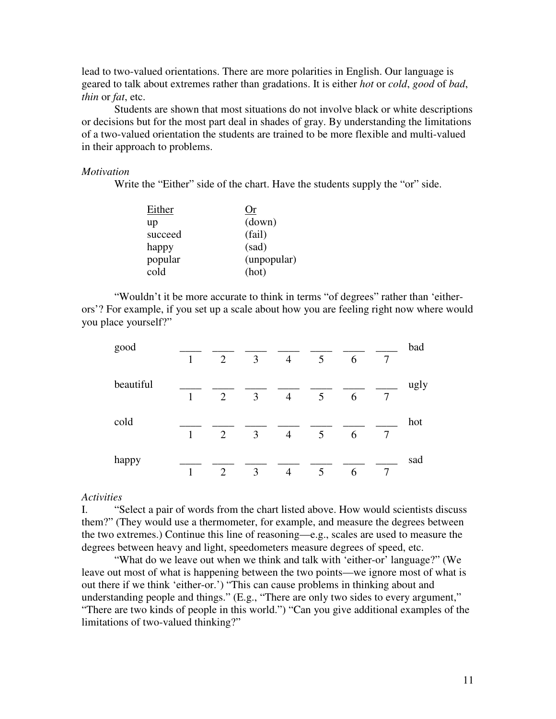lead to two-valued orientations. There are more polarities in English. Our language is geared to talk about extremes rather than gradations. It is either *hot* or *cold*, *good* of *bad*, *thin* or *fat*, etc.

 Students are shown that most situations do not involve black or white descriptions or decisions but for the most part deal in shades of gray. By understanding the limitations of a two-valued orientation the students are trained to be more flexible and multi-valued in their approach to problems.

#### *Motivation*

Write the "Either" side of the chart. Have the students supply the "or" side.

| Either  | Or          |
|---------|-------------|
| up      | (down)      |
| succeed | (fail)      |
| happy   | (sad)       |
| popular | (unpopular) |
| cold    | (hot)       |

 "Wouldn't it be more accurate to think in terms "of degrees" rather than 'eitherors'? For example, if you set up a scale about how you are feeling right now where would you place yourself?"

| good      |              |                |                |                |   |   | bad |      |
|-----------|--------------|----------------|----------------|----------------|---|---|-----|------|
|           | $\mathbf{1}$ | $\overline{2}$ | 3              | $\overline{4}$ | 5 | 6 | 7   |      |
| beautiful | 1            | 2              | 3              | $\overline{4}$ | 5 | 6 | 7   | ugly |
| cold      | $\mathbf{1}$ | $\overline{2}$ | $\overline{3}$ | $\overline{4}$ | 5 | 6 | 7   | hot  |
| happy     | 1            | 2              | 3              | $\overline{4}$ | 5 | 6 | 7   | sad  |

#### *Activities*

I. "Select a pair of words from the chart listed above. How would scientists discuss them?" (They would use a thermometer, for example, and measure the degrees between the two extremes.) Continue this line of reasoning—e.g., scales are used to measure the degrees between heavy and light, speedometers measure degrees of speed, etc.

"What do we leave out when we think and talk with 'either-or' language?" (We leave out most of what is happening between the two points—we ignore most of what is out there if we think 'either-or.') "This can cause problems in thinking about and understanding people and things." (E.g., "There are only two sides to every argument," "There are two kinds of people in this world.") "Can you give additional examples of the limitations of two-valued thinking?"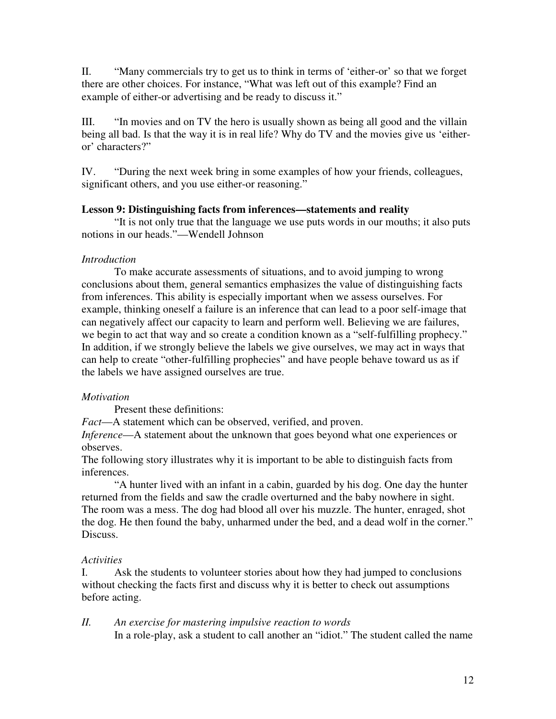II. "Many commercials try to get us to think in terms of 'either-or' so that we forget there are other choices. For instance, "What was left out of this example? Find an example of either-or advertising and be ready to discuss it."

III. "In movies and on TV the hero is usually shown as being all good and the villain being all bad. Is that the way it is in real life? Why do TV and the movies give us 'eitheror' characters?"

IV. "During the next week bring in some examples of how your friends, colleagues, significant others, and you use either-or reasoning."

## **Lesson 9: Distinguishing facts from inferences—statements and reality**

 "It is not only true that the language we use puts words in our mouths; it also puts notions in our heads."—Wendell Johnson

## *Introduction*

 To make accurate assessments of situations, and to avoid jumping to wrong conclusions about them, general semantics emphasizes the value of distinguishing facts from inferences. This ability is especially important when we assess ourselves. For example, thinking oneself a failure is an inference that can lead to a poor self-image that can negatively affect our capacity to learn and perform well. Believing we are failures, we begin to act that way and so create a condition known as a "self-fulfilling prophecy." In addition, if we strongly believe the labels we give ourselves, we may act in ways that can help to create "other-fulfilling prophecies" and have people behave toward us as if the labels we have assigned ourselves are true.

## *Motivation*

Present these definitions:

*Fact*—A statement which can be observed, verified, and proven.

*Inference*—A statement about the unknown that goes beyond what one experiences or observes.

The following story illustrates why it is important to be able to distinguish facts from inferences.

"A hunter lived with an infant in a cabin, guarded by his dog. One day the hunter returned from the fields and saw the cradle overturned and the baby nowhere in sight. The room was a mess. The dog had blood all over his muzzle. The hunter, enraged, shot the dog. He then found the baby, unharmed under the bed, and a dead wolf in the corner." Discuss.

## *Activities*

I. Ask the students to volunteer stories about how they had jumped to conclusions without checking the facts first and discuss why it is better to check out assumptions before acting.

*II. An exercise for mastering impulsive reaction to words* 

In a role-play, ask a student to call another an "idiot." The student called the name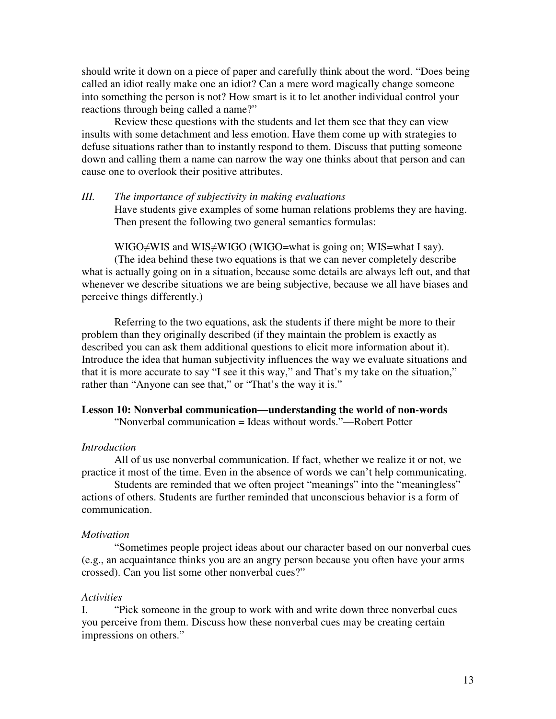should write it down on a piece of paper and carefully think about the word. "Does being called an idiot really make one an idiot? Can a mere word magically change someone into something the person is not? How smart is it to let another individual control your reactions through being called a name?"

Review these questions with the students and let them see that they can view insults with some detachment and less emotion. Have them come up with strategies to defuse situations rather than to instantly respond to them. Discuss that putting someone down and calling them a name can narrow the way one thinks about that person and can cause one to overlook their positive attributes.

*III. The importance of subjectivity in making evaluations*  Have students give examples of some human relations problems they are having. Then present the following two general semantics formulas:

WIGO≠WIS and WIS≠WIGO (WIGO=what is going on; WIS=what I say). (The idea behind these two equations is that we can never completely describe what is actually going on in a situation, because some details are always left out, and that whenever we describe situations we are being subjective, because we all have biases and perceive things differently.)

Referring to the two equations, ask the students if there might be more to their problem than they originally described (if they maintain the problem is exactly as described you can ask them additional questions to elicit more information about it). Introduce the idea that human subjectivity influences the way we evaluate situations and that it is more accurate to say "I see it this way," and That's my take on the situation," rather than "Anyone can see that," or "That's the way it is."

# **Lesson 10: Nonverbal communication—understanding the world of non-words**

"Nonverbal communication = Ideas without words."—Robert Potter

### *Introduction*

 All of us use nonverbal communication. If fact, whether we realize it or not, we practice it most of the time. Even in the absence of words we can't help communicating.

 Students are reminded that we often project "meanings" into the "meaningless" actions of others. Students are further reminded that unconscious behavior is a form of communication.

#### *Motivation*

"Sometimes people project ideas about our character based on our nonverbal cues (e.g., an acquaintance thinks you are an angry person because you often have your arms crossed). Can you list some other nonverbal cues?"

#### *Activities*

I. "Pick someone in the group to work with and write down three nonverbal cues you perceive from them. Discuss how these nonverbal cues may be creating certain impressions on others."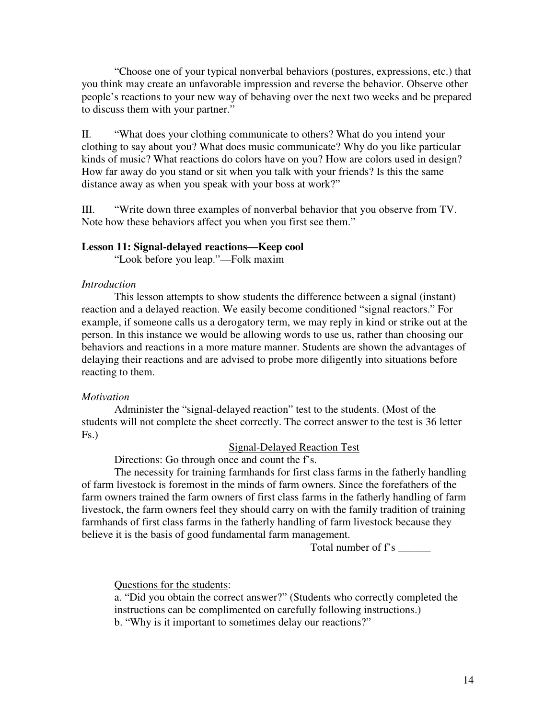"Choose one of your typical nonverbal behaviors (postures, expressions, etc.) that you think may create an unfavorable impression and reverse the behavior. Observe other people's reactions to your new way of behaving over the next two weeks and be prepared to discuss them with your partner."

II. "What does your clothing communicate to others? What do you intend your clothing to say about you? What does music communicate? Why do you like particular kinds of music? What reactions do colors have on you? How are colors used in design? How far away do you stand or sit when you talk with your friends? Is this the same distance away as when you speak with your boss at work?"

III. "Write down three examples of nonverbal behavior that you observe from TV. Note how these behaviors affect you when you first see them."

#### **Lesson 11: Signal-delayed reactions—Keep cool**

"Look before you leap."—Folk maxim

### *Introduction*

 This lesson attempts to show students the difference between a signal (instant) reaction and a delayed reaction. We easily become conditioned "signal reactors." For example, if someone calls us a derogatory term, we may reply in kind or strike out at the person. In this instance we would be allowing words to use us, rather than choosing our behaviors and reactions in a more mature manner. Students are shown the advantages of delaying their reactions and are advised to probe more diligently into situations before reacting to them.

#### *Motivation*

Administer the "signal-delayed reaction" test to the students. (Most of the students will not complete the sheet correctly. The correct answer to the test is 36 letter Fs.)

#### Signal-Delayed Reaction Test

Directions: Go through once and count the f's.

 The necessity for training farmhands for first class farms in the fatherly handling of farm livestock is foremost in the minds of farm owners. Since the forefathers of the farm owners trained the farm owners of first class farms in the fatherly handling of farm livestock, the farm owners feel they should carry on with the family tradition of training farmhands of first class farms in the fatherly handling of farm livestock because they believe it is the basis of good fundamental farm management.

Total number of f's \_\_\_\_\_\_

### Questions for the students:

a. "Did you obtain the correct answer?" (Students who correctly completed the instructions can be complimented on carefully following instructions.) b. "Why is it important to sometimes delay our reactions?"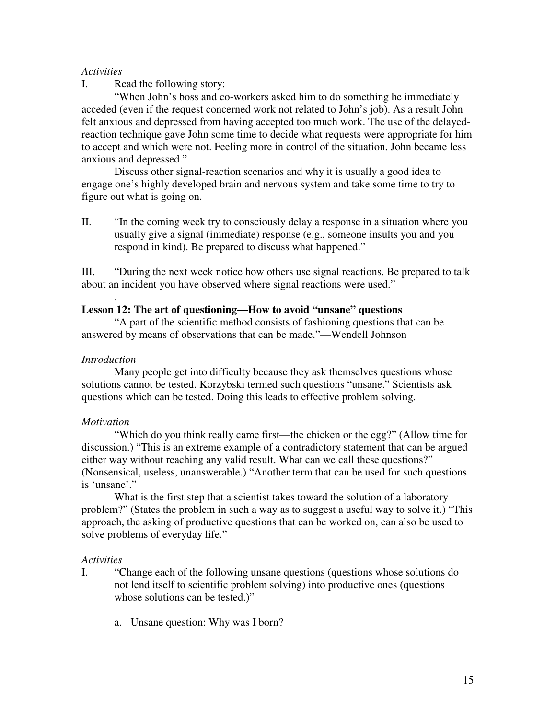## *Activities*

I. Read the following story:

"When John's boss and co-workers asked him to do something he immediately acceded (even if the request concerned work not related to John's job). As a result John felt anxious and depressed from having accepted too much work. The use of the delayedreaction technique gave John some time to decide what requests were appropriate for him to accept and which were not. Feeling more in control of the situation, John became less anxious and depressed."

 Discuss other signal-reaction scenarios and why it is usually a good idea to engage one's highly developed brain and nervous system and take some time to try to figure out what is going on.

II. "In the coming week try to consciously delay a response in a situation where you usually give a signal (immediate) response (e.g., someone insults you and you respond in kind). Be prepared to discuss what happened."

III. "During the next week notice how others use signal reactions. Be prepared to talk about an incident you have observed where signal reactions were used."

## **Lesson 12: The art of questioning—How to avoid "unsane" questions**

 "A part of the scientific method consists of fashioning questions that can be answered by means of observations that can be made."—Wendell Johnson

## *Introduction*

.

 Many people get into difficulty because they ask themselves questions whose solutions cannot be tested. Korzybski termed such questions "unsane." Scientists ask questions which can be tested. Doing this leads to effective problem solving.

### *Motivation*

 "Which do you think really came first—the chicken or the egg?" (Allow time for discussion.) "This is an extreme example of a contradictory statement that can be argued either way without reaching any valid result. What can we call these questions?" (Nonsensical, useless, unanswerable.) "Another term that can be used for such questions is 'unsane'."

What is the first step that a scientist takes toward the solution of a laboratory problem?" (States the problem in such a way as to suggest a useful way to solve it.) "This approach, the asking of productive questions that can be worked on, can also be used to solve problems of everyday life."

### *Activities*

- I. "Change each of the following unsane questions (questions whose solutions do not lend itself to scientific problem solving) into productive ones (questions whose solutions can be tested.)"
	- a. Unsane question: Why was I born?